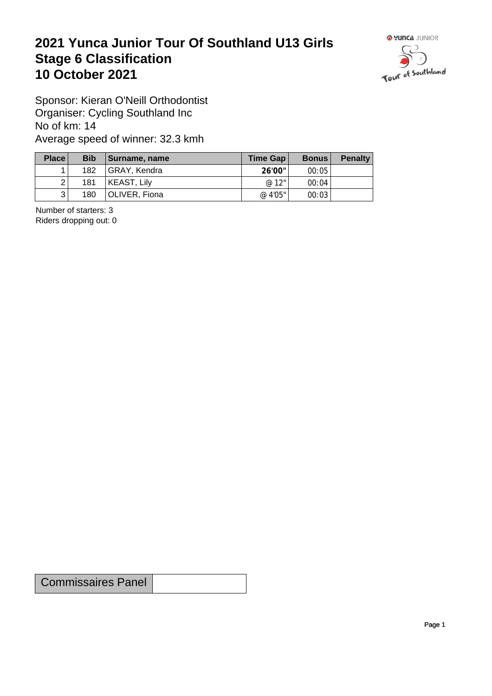## **2021 Yunca Junior Tour Of Southland U13 Girls** Stage 6 Classification<br>10 October 2021 **10 October 2021**



Sponsor: Kieran O'Neill Orthodontist Organiser: Cycling Southland Inc No of km: 14 Average speed of winner: 32.3 kmh

| Place          | <b>Bib</b> | Surname, name | Time Gap $ $ | <b>Bonus</b> | <b>Penalty</b> |
|----------------|------------|---------------|--------------|--------------|----------------|
|                | 182        | GRAY, Kendra  | 26'00"       | 00:05        |                |
| $\overline{2}$ | 181        | KEAST, Lily   | @ 12"        | 00:04        |                |
| 3              | 180        | OLIVER, Fiona | @ 4'05"      | 00:03        |                |

Number of starters: 3 Riders dropping out: 0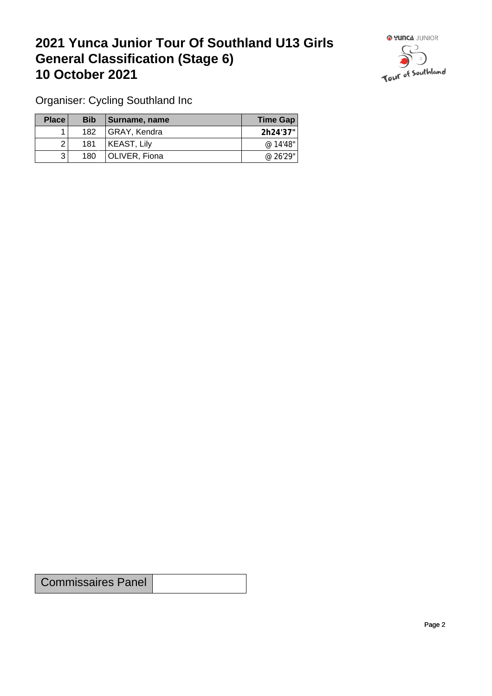## **2021 Yunca Junior Tour Of Southland U13 Girls General Classification (Stage 6)**<br>10 October 2021 **10 October 2021**



Organiser: Cycling Southland Inc

| Place | <b>Bib</b> | <b>∣Surname, name</b> | Time Gap |
|-------|------------|-----------------------|----------|
|       | 182        | GRAY, Kendra          | 2h24'37" |
|       | 181        | KEAST, Lily           | @ 14'48" |
| 3     | 180        | OLIVER, Fiona         | @ 26'29" |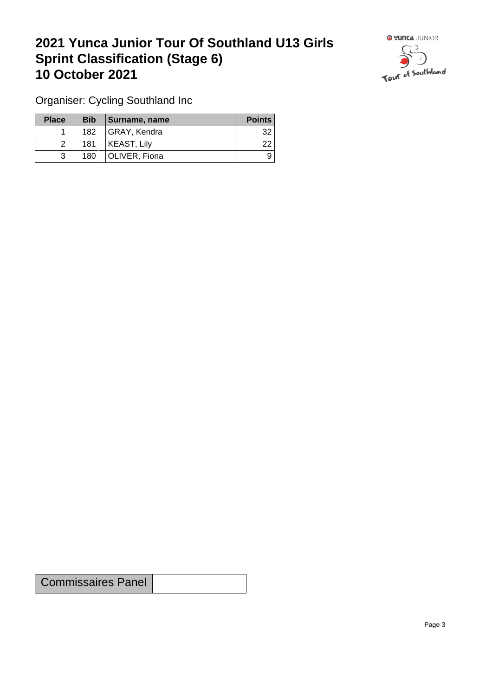## **2021 Yunca Junior Tour Of Southland U13 Girls Sprint Classification (Stage 6) 10 October 2021 10 October 2021**



Organiser: Cycling Southland Inc

| <b>Place</b> | <b>Bib</b>       | Surname, name      | <b>Points</b> |
|--------------|------------------|--------------------|---------------|
|              | 182 <sub>1</sub> | GRAY, Kendra       | 32            |
| ⌒            | 181              | <b>KEAST, Lily</b> | 22            |
| ્રિ          | 180              | OLIVER, Fiona      | 9             |